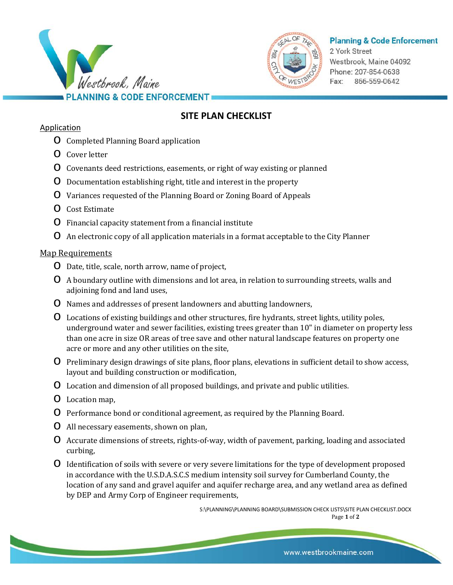



## **Planning & Code Enforcement**

2 York Street Westbrook, Maine 04092 Phone: 207-854-0638 Fax: 866-559-0642

# **SITE PLAN CHECKLIST**

#### Application

- o Completed Planning Board application
- o Cover letter
- o Covenants deed restrictions, easements, or right of way existing or planned
- o Documentation establishing right, title and interest in the property
- o Variances requested of the Planning Board or Zoning Board of Appeals
- o Cost Estimate
- o Financial capacity statement from a financial institute
- o An electronic copy of all application materials in a format acceptable to the City Planner

## Map Requirements

- o Date, title, scale, north arrow, name of project,
- o A boundary outline with dimensions and lot area, in relation to surrounding streets, walls and adjoining fond and land uses,
- o Names and addresses of present landowners and abutting landowners,
- o Locations of existing buildings and other structures, fire hydrants, street lights, utility poles, underground water and sewer facilities, existing trees greater than 10" in diameter on property less than one acre in size OR areas of tree save and other natural landscape features on property one acre or more and any other utilities on the site,
- o Preliminary design drawings of site plans, floor plans, elevations in sufficient detail to show access, layout and building construction or modification,
- o Location and dimension of all proposed buildings, and private and public utilities.
- o Location map,
- o Performance bond or conditional agreement, as required by the Planning Board.
- o All necessary easements, shown on plan,
- o Accurate dimensions of streets, rights-of-way, width of pavement, parking, loading and associated curbing,
- o Identification of soils with severe or very severe limitations for the type of development proposed in accordance with the U.S.D.A.S.C.S medium intensity soil survey for Cumberland County, the location of any sand and gravel aquifer and aquifer recharge area, and any wetland area as defined by DEP and Army Corp of Engineer requirements,

S:\PLANNING\PLANNING BOARD\SUBMISSION CHECK LISTS\SITE PLAN CHECKLIST.DOCX Page **1** of **2**